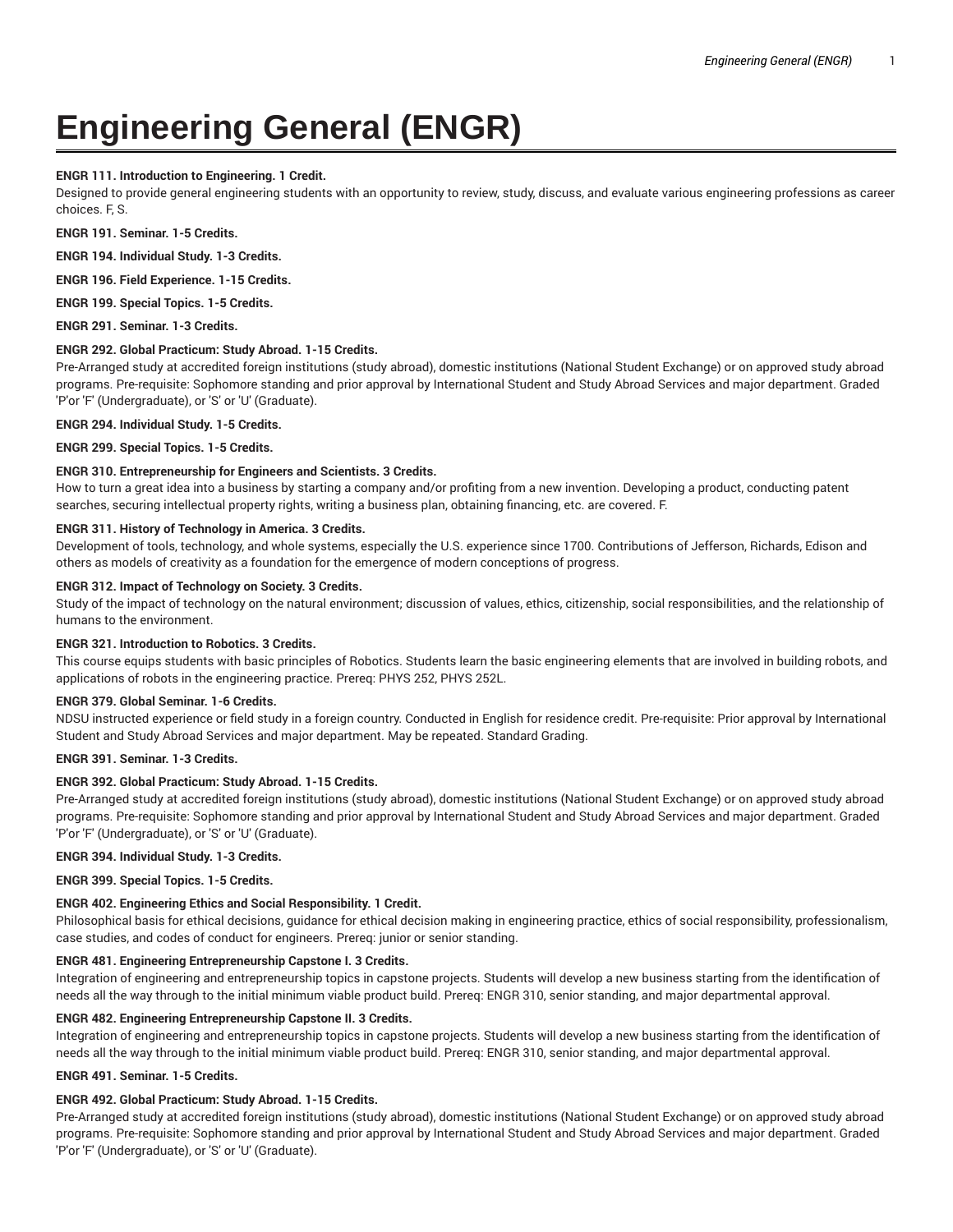# **Engineering General (ENGR)**

## **ENGR 111. Introduction to Engineering. 1 Credit.**

Designed to provide general engineering students with an opportunity to review, study, discuss, and evaluate various engineering professions as career choices. F, S.

**ENGR 191. Seminar. 1-5 Credits.**

**ENGR 194. Individual Study. 1-3 Credits.**

**ENGR 196. Field Experience. 1-15 Credits.**

**ENGR 199. Special Topics. 1-5 Credits.**

**ENGR 291. Seminar. 1-3 Credits.**

### **ENGR 292. Global Practicum: Study Abroad. 1-15 Credits.**

Pre-Arranged study at accredited foreign institutions (study abroad), domestic institutions (National Student Exchange) or on approved study abroad programs. Pre-requisite: Sophomore standing and prior approval by International Student and Study Abroad Services and major department. Graded 'P'or 'F' (Undergraduate), or 'S' or 'U' (Graduate).

**ENGR 294. Individual Study. 1-5 Credits.**

**ENGR 299. Special Topics. 1-5 Credits.**

### **ENGR 310. Entrepreneurship for Engineers and Scientists. 3 Credits.**

How to turn a great idea into a business by starting a company and/or profiting from a new invention. Developing a product, conducting patent searches, securing intellectual property rights, writing a business plan, obtaining financing, etc. are covered. F.

### **ENGR 311. History of Technology in America. 3 Credits.**

Development of tools, technology, and whole systems, especially the U.S. experience since 1700. Contributions of Jefferson, Richards, Edison and others as models of creativity as a foundation for the emergence of modern conceptions of progress.

### **ENGR 312. Impact of Technology on Society. 3 Credits.**

Study of the impact of technology on the natural environment; discussion of values, ethics, citizenship, social responsibilities, and the relationship of humans to the environment.

### **ENGR 321. Introduction to Robotics. 3 Credits.**

This course equips students with basic principles of Robotics. Students learn the basic engineering elements that are involved in building robots, and applications of robots in the engineering practice. Prereq: PHYS 252, PHYS 252L.

### **ENGR 379. Global Seminar. 1-6 Credits.**

NDSU instructed experience or field study in a foreign country. Conducted in English for residence credit. Pre-requisite: Prior approval by International Student and Study Abroad Services and major department. May be repeated. Standard Grading.

# **ENGR 391. Seminar. 1-3 Credits.**

### **ENGR 392. Global Practicum: Study Abroad. 1-15 Credits.**

Pre-Arranged study at accredited foreign institutions (study abroad), domestic institutions (National Student Exchange) or on approved study abroad programs. Pre-requisite: Sophomore standing and prior approval by International Student and Study Abroad Services and major department. Graded 'P'or 'F' (Undergraduate), or 'S' or 'U' (Graduate).

### **ENGR 394. Individual Study. 1-3 Credits.**

**ENGR 399. Special Topics. 1-5 Credits.**

### **ENGR 402. Engineering Ethics and Social Responsibility. 1 Credit.**

Philosophical basis for ethical decisions, guidance for ethical decision making in engineering practice, ethics of social responsibility, professionalism, case studies, and codes of conduct for engineers. Prereq: junior or senior standing.

### **ENGR 481. Engineering Entrepreneurship Capstone I. 3 Credits.**

Integration of engineering and entrepreneurship topics in capstone projects. Students will develop a new business starting from the identification of needs all the way through to the initial minimum viable product build. Prereq: ENGR 310, senior standing, and major departmental approval.

#### **ENGR 482. Engineering Entrepreneurship Capstone II. 3 Credits.**

Integration of engineering and entrepreneurship topics in capstone projects. Students will develop a new business starting from the identification of needs all the way through to the initial minimum viable product build. Prereq: ENGR 310, senior standing, and major departmental approval.

# **ENGR 491. Seminar. 1-5 Credits.**

### **ENGR 492. Global Practicum: Study Abroad. 1-15 Credits.**

Pre-Arranged study at accredited foreign institutions (study abroad), domestic institutions (National Student Exchange) or on approved study abroad programs. Pre-requisite: Sophomore standing and prior approval by International Student and Study Abroad Services and major department. Graded 'P'or 'F' (Undergraduate), or 'S' or 'U' (Graduate).